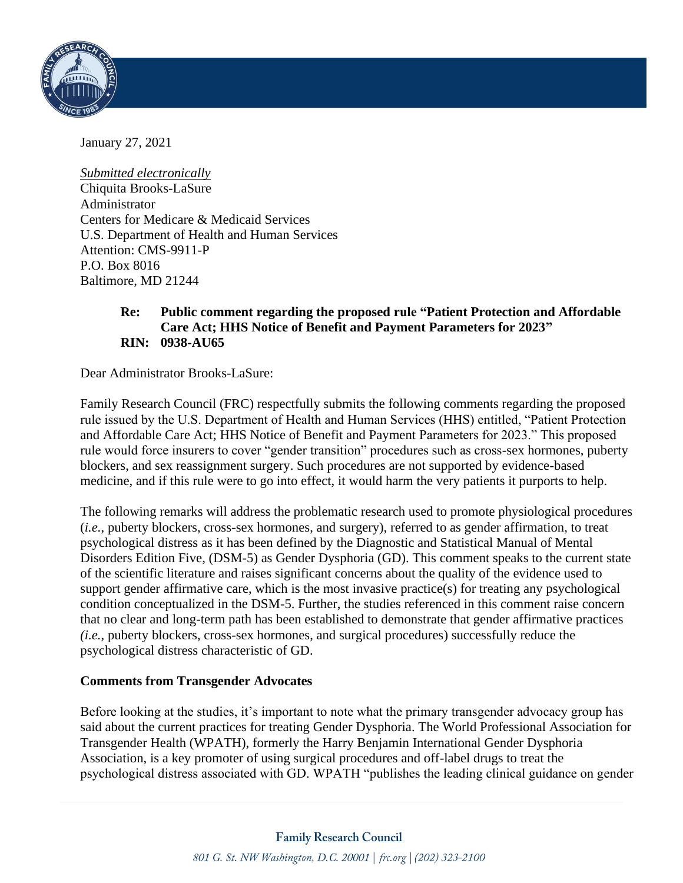

January 27, 2021

*Submitted electronically* Chiquita Brooks-LaSure Administrator Centers for Medicare & Medicaid Services U.S. Department of Health and Human Services Attention: CMS-9911-P P.O. Box 8016 Baltimore, MD 21244

## **Re: Public comment regarding the proposed rule "Patient Protection and Affordable Care Act; HHS Notice of Benefit and Payment Parameters for 2023" RIN: 0938-AU65**

Dear Administrator Brooks-LaSure:

Family Research Council (FRC) respectfully submits the following comments regarding the proposed rule issued by the U.S. Department of Health and Human Services (HHS) entitled, "Patient Protection and Affordable Care Act; HHS Notice of Benefit and Payment Parameters for 2023." This proposed rule would force insurers to cover "gender transition" procedures such as cross-sex hormones, puberty blockers, and sex reassignment surgery. Such procedures are not supported by evidence-based medicine, and if this rule were to go into effect, it would harm the very patients it purports to help.

The following remarks will address the problematic research used to promote physiological procedures (*i.e.*, puberty blockers, cross-sex hormones, and surgery), referred to as gender affirmation, to treat psychological distress as it has been defined by the Diagnostic and Statistical Manual of Mental Disorders Edition Five, (DSM-5) as Gender Dysphoria (GD). This comment speaks to the current state of the scientific literature and raises significant concerns about the quality of the evidence used to support gender affirmative care, which is the most invasive practice(s) for treating any psychological condition conceptualized in the DSM-5. Further, the studies referenced in this comment raise concern that no clear and long-term path has been established to demonstrate that gender affirmative practices *(i.e.*, puberty blockers, cross-sex hormones, and surgical procedures) successfully reduce the psychological distress characteristic of GD.

### **Comments from Transgender Advocates**

Before looking at the studies, it's important to note what the primary transgender advocacy group has said about the current practices for treating Gender Dysphoria. The World Professional Association for Transgender Health (WPATH), formerly the Harry Benjamin International Gender Dysphoria Association, is a key promoter of using surgical procedures and off-label drugs to treat the psychological distress associated with GD. WPATH "publishes the leading clinical guidance on gender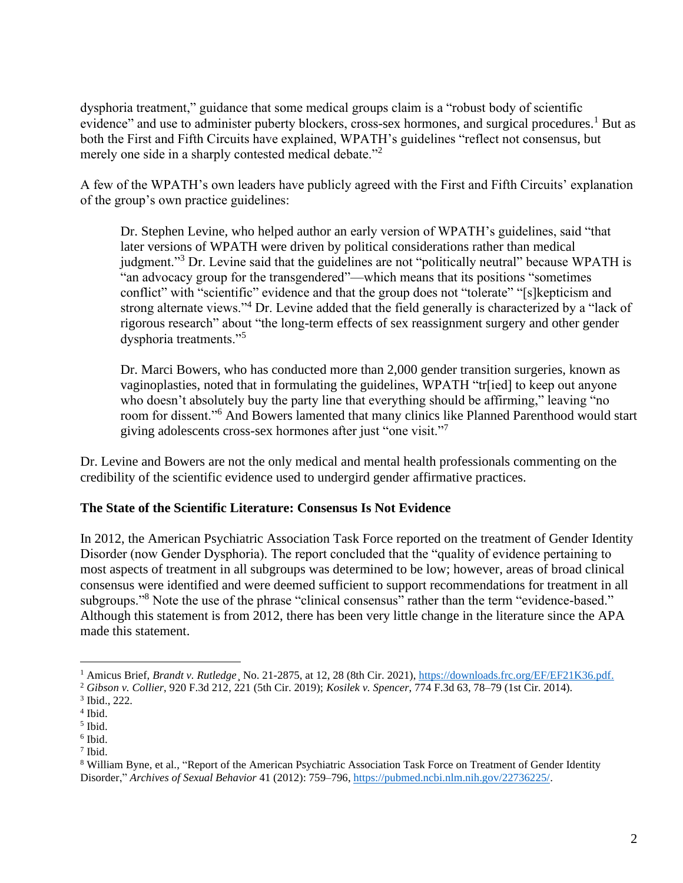dysphoria treatment," guidance that some medical groups claim is a "robust body of scientific evidence" and use to administer puberty blockers, cross-sex hormones, and surgical procedures.<sup>1</sup> But as both the First and Fifth Circuits have explained, WPATH's guidelines "reflect not consensus, but merely one side in a sharply contested medical debate."<sup>2</sup>

A few of the WPATH's own leaders have publicly agreed with the First and Fifth Circuits' explanation of the group's own practice guidelines:

Dr. Stephen Levine, who helped author an early version of WPATH's guidelines, said "that later versions of WPATH were driven by political considerations rather than medical judgment."<sup>3</sup> Dr. Levine said that the guidelines are not "politically neutral" because WPATH is "an advocacy group for the transgendered"—which means that its positions "sometimes conflict" with "scientific" evidence and that the group does not "tolerate" "[s] kepticism and strong alternate views."<sup>4</sup> Dr. Levine added that the field generally is characterized by a "lack of rigorous research" about "the long-term effects of sex reassignment surgery and other gender dysphoria treatments."<sup>5</sup>

Dr. Marci Bowers, who has conducted more than 2,000 gender transition surgeries, known as vaginoplasties, noted that in formulating the guidelines, WPATH "tr[ied] to keep out anyone who doesn't absolutely buy the party line that everything should be affirming," leaving "no room for dissent."<sup>6</sup> And Bowers lamented that many clinics like Planned Parenthood would start giving adolescents cross-sex hormones after just "one visit."<sup>7</sup>

Dr. Levine and Bowers are not the only medical and mental health professionals commenting on the credibility of the scientific evidence used to undergird gender affirmative practices.

### **The State of the Scientific Literature: Consensus Is Not Evidence**

In 2012, the American Psychiatric Association Task Force reported on the treatment of Gender Identity Disorder (now Gender Dysphoria). The report concluded that the "quality of evidence pertaining to most aspects of treatment in all subgroups was determined to be low; however, areas of broad clinical consensus were identified and were deemed sufficient to support recommendations for treatment in all subgroups."<sup>8</sup> Note the use of the phrase "clinical consensus" rather than the term "evidence-based." Although this statement is from 2012, there has been very little change in the literature since the APA made this statement.

<sup>&</sup>lt;sup>1</sup> Amicus Brief, *Brandt v. Rutledge*, No. 21-2875, at 12, 28 (8th Cir. 2021), [https://downloads.frc.org/EF/EF21K36.pdf.](https://downloads.frc.org/EF/EF21K36.pdf)

<sup>2</sup> *Gibson v. Collier*, 920 F.3d 212, 221 (5th Cir. 2019); *Kosilek v. Spencer*, 774 F.3d 63, 78–79 (1st Cir. 2014).

<sup>3</sup> Ibid., 222.

<sup>4</sup> Ibid.

<sup>5</sup> Ibid.

<sup>6</sup> Ibid.

<sup>7</sup> Ibid.

<sup>8</sup> William Byne, et al., "Report of the American Psychiatric Association Task Force on Treatment of Gender Identity Disorder," *Archives of Sexual Behavior* 41 (2012): 759–796, [https://pubmed.ncbi.nlm.nih.gov/22736225/.](https://pubmed.ncbi.nlm.nih.gov/22736225/)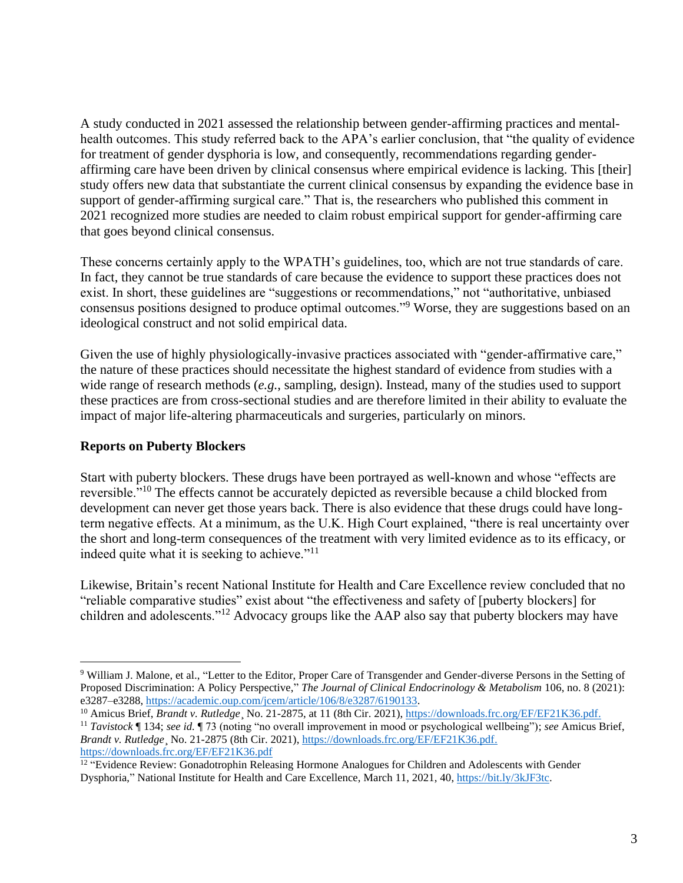A study conducted in 2021 assessed the relationship between gender-affirming practices and mentalhealth outcomes. This study referred back to the APA's earlier conclusion, that "the quality of evidence for treatment of gender dysphoria is low, and consequently, recommendations regarding genderaffirming care have been driven by clinical consensus where empirical evidence is lacking. This [their] study offers new data that substantiate the current clinical consensus by expanding the evidence base in support of gender-affirming surgical care." That is, the researchers who published this comment in 2021 recognized more studies are needed to claim robust empirical support for gender-affirming care that goes beyond clinical consensus.

These concerns certainly apply to the WPATH's guidelines, too, which are not true standards of care. In fact, they cannot be true standards of care because the evidence to support these practices does not exist. In short, these guidelines are "suggestions or recommendations," not "authoritative, unbiased consensus positions designed to produce optimal outcomes."<sup>9</sup> Worse, they are suggestions based on an ideological construct and not solid empirical data.

Given the use of highly physiologically-invasive practices associated with "gender-affirmative care," the nature of these practices should necessitate the highest standard of evidence from studies with a wide range of research methods (*e.g.*, sampling, design). Instead, many of the studies used to support these practices are from cross-sectional studies and are therefore limited in their ability to evaluate the impact of major life-altering pharmaceuticals and surgeries, particularly on minors.

## **Reports on Puberty Blockers**

Start with puberty blockers. These drugs have been portrayed as well-known and whose "effects are reversible."<sup>10</sup> The effects cannot be accurately depicted as reversible because a child blocked from development can never get those years back. There is also evidence that these drugs could have longterm negative effects. At a minimum, as the U.K. High Court explained, "there is real uncertainty over the short and long-term consequences of the treatment with very limited evidence as to its efficacy, or indeed quite what it is seeking to achieve."<sup>11</sup>

Likewise, Britain's recent National Institute for Health and Care Excellence review concluded that no "reliable comparative studies" exist about "the effectiveness and safety of [puberty blockers] for children and adolescents."<sup>12</sup> Advocacy groups like the AAP also say that puberty blockers may have

<sup>&</sup>lt;sup>9</sup> William J. Malone, et al., "Letter to the Editor, Proper Care of Transgender and Gender-diverse Persons in the Setting of Proposed Discrimination: A Policy Perspective," *The Journal of Clinical Endocrinology & Metabolism* 106, no. 8 (2021): e3287–e3288, [https://academic.oup.com/jcem/article/106/8/e3287/6190133.](https://academic.oup.com/jcem/article/106/8/e3287/6190133)

<sup>&</sup>lt;sup>10</sup> Amicus Brief, *Brandt v. Rutledge*, No. 21-2875, at 11 (8th Cir. 2021), [https://downloads.frc.org/EF/EF21K36.pdf.](https://downloads.frc.org/EF/EF21K36.pdf)

<sup>11</sup> *Tavistock* ¶ 134; *see id.* ¶ 73 (noting "no overall improvement in mood or psychological wellbeing"); *see* Amicus Brief, *Brandt v. Rutledge*¸ No. 21-2875 (8th Cir. 2021), [https://downloads.frc.org/EF/EF21K36.pdf.](https://downloads.frc.org/EF/EF21K36.pdf) <https://downloads.frc.org/EF/EF21K36.pdf>

<sup>&</sup>lt;sup>12</sup> "Evidence Review: Gonadotrophin Releasing Hormone Analogues for Children and Adolescents with Gender Dysphoria," National Institute for Health and Care Excellence, March 11, 2021, 40[, https://bit.ly/3kJF3tc.](https://bit.ly/3kJF3tc)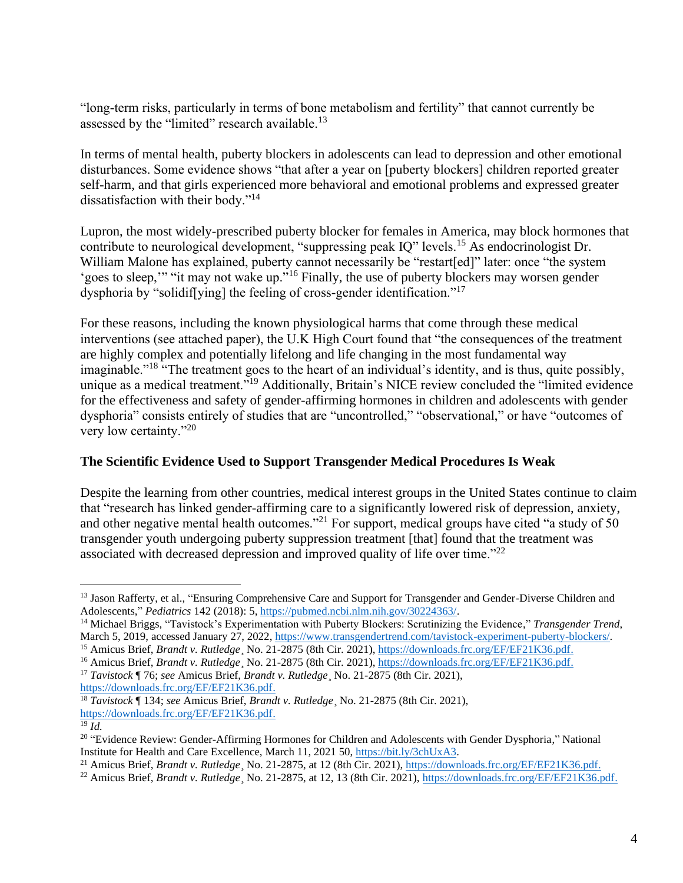"long-term risks, particularly in terms of bone metabolism and fertility" that cannot currently be assessed by the "limited" research available.<sup>13</sup>

In terms of mental health, puberty blockers in adolescents can lead to depression and other emotional disturbances. Some evidence shows "that after a year on [puberty blockers] children reported greater self-harm, and that girls experienced more behavioral and emotional problems and expressed greater dissatisfaction with their body."<sup>14</sup>

Lupron, the most widely-prescribed puberty blocker for females in America, may block hormones that contribute to neurological development, "suppressing peak IQ" levels.<sup>15</sup> As endocrinologist Dr. William Malone has explained, puberty cannot necessarily be "restart[ed]" later: once "the system 'goes to sleep,'" "it may not wake up."<sup>16</sup> Finally, the use of puberty blockers may worsen gender dysphoria by "solidif[ying] the feeling of cross-gender identification."<sup>17</sup>

For these reasons, including the known physiological harms that come through these medical interventions (see attached paper), the U.K High Court found that "the consequences of the treatment are highly complex and potentially lifelong and life changing in the most fundamental way imaginable."<sup>18</sup> "The treatment goes to the heart of an individual's identity, and is thus, quite possibly, unique as a medical treatment."<sup>19</sup> Additionally, Britain's NICE review concluded the "limited evidence for the effectiveness and safety of gender-affirming hormones in children and adolescents with gender dysphoria" consists entirely of studies that are "uncontrolled," "observational," or have "outcomes of very low certainty."<sup>20</sup>

# **The Scientific Evidence Used to Support Transgender Medical Procedures Is Weak**

Despite the learning from other countries, medical interest groups in the United States continue to claim that "research has linked gender-affirming care to a significantly lowered risk of depression, anxiety, and other negative mental health outcomes."<sup>21</sup> For support, medical groups have cited "a study of 50 transgender youth undergoing puberty suppression treatment [that] found that the treatment was associated with decreased depression and improved quality of life over time."<sup>22</sup>

[https://downloads.frc.org/EF/EF21K36.pdf.](https://downloads.frc.org/EF/EF21K36.pdf)

<sup>&</sup>lt;sup>13</sup> Jason Rafferty, et al., "Ensuring Comprehensive Care and Support for Transgender and Gender-Diverse Children and Adolescents," *Pediatrics* 142 (2018): 5[, https://pubmed.ncbi.nlm.nih.gov/30224363/.](https://pubmed.ncbi.nlm.nih.gov/30224363/)

<sup>&</sup>lt;sup>14</sup> Michael Briggs, "Tavistock's Experimentation with Puberty Blockers: Scrutinizing the Evidence," *Transgender Trend*, March 5, 2019, accessed January 27, 2022, [https://www.transgendertrend.com/tavistock-experiment-puberty-blockers/.](https://www.transgendertrend.com/tavistock-experiment-puberty-blockers/)

<sup>&</sup>lt;sup>15</sup> Amicus Brief, *Brandt v. Rutledge*, No. 21-2875 (8th Cir. 2021), [https://downloads.frc.org/EF/EF21K36.pdf.](https://downloads.frc.org/EF/EF21K36.pdf)

<sup>&</sup>lt;sup>16</sup> Amicus Brief, *Brandt v. Rutledge*, No. 21-2875 (8th Cir. 2021), [https://downloads.frc.org/EF/EF21K36.pdf.](https://downloads.frc.org/EF/EF21K36.pdf) <sup>17</sup> *Tavistock* ¶ 76; *see* Amicus Brief, *Brandt v. Rutledge*¸ No. 21-2875 (8th Cir. 2021),

<sup>18</sup> *Tavistock* ¶ 134; *see* Amicus Brief, *Brandt v. Rutledge*¸ No. 21-2875 (8th Cir. 2021), [https://downloads.frc.org/EF/EF21K36.pdf.](https://downloads.frc.org/EF/EF21K36.pdf)

 $^{19}$   $I$ *d*.

<sup>&</sup>lt;sup>20</sup> "Evidence Review: Gender-Affirming Hormones for Children and Adolescents with Gender Dysphoria," National Institute for Health and Care Excellence, March 11, 2021 50, [https://bit.ly/3chUxA3.](https://bit.ly/3chUxA3)

<sup>&</sup>lt;sup>21</sup> Amicus Brief, *Brandt v. Rutledge*, No. 21-2875, at 12 (8th Cir. 2021), [https://downloads.frc.org/EF/EF21K36.pdf.](https://downloads.frc.org/EF/EF21K36.pdf)

<sup>&</sup>lt;sup>22</sup> Amicus Brief, *Brandt v. Rutledge*, No. 21-2875, at 12, 13 (8th Cir. 2021), [https://downloads.frc.org/EF/EF21K36.pdf.](https://downloads.frc.org/EF/EF21K36.pdf)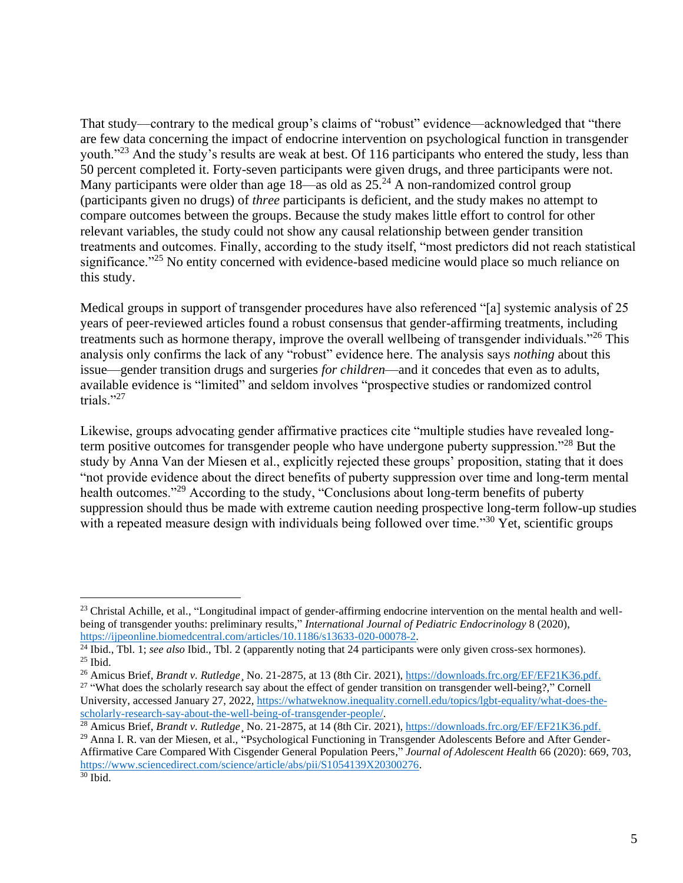That study—contrary to the medical group's claims of "robust" evidence—acknowledged that "there are few data concerning the impact of endocrine intervention on psychological function in transgender youth."<sup>23</sup> And the study's results are weak at best. Of 116 participants who entered the study, less than 50 percent completed it. Forty-seven participants were given drugs, and three participants were not. Many participants were older than age  $18$ —as old as  $25.^{24}$  A non-randomized control group (participants given no drugs) of *three* participants is deficient, and the study makes no attempt to compare outcomes between the groups. Because the study makes little effort to control for other relevant variables, the study could not show any causal relationship between gender transition treatments and outcomes. Finally, according to the study itself, "most predictors did not reach statistical significance."<sup>25</sup> No entity concerned with evidence-based medicine would place so much reliance on this study.

Medical groups in support of transgender procedures have also referenced "[a] systemic analysis of 25 years of peer-reviewed articles found a robust consensus that gender-affirming treatments, including treatments such as hormone therapy, improve the overall wellbeing of transgender individuals."<sup>26</sup> This analysis only confirms the lack of any "robust" evidence here. The analysis says *nothing* about this issue—gender transition drugs and surgeries *for children*—and it concedes that even as to adults, available evidence is "limited" and seldom involves "prospective studies or randomized control trials."27

Likewise, groups advocating gender affirmative practices cite "multiple studies have revealed longterm positive outcomes for transgender people who have undergone puberty suppression."<sup>28</sup> But the study by Anna Van der Miesen et al., explicitly rejected these groups' proposition, stating that it does "not provide evidence about the direct benefits of puberty suppression over time and long-term mental health outcomes."<sup>29</sup> According to the study, "Conclusions about long-term benefits of puberty suppression should thus be made with extreme caution needing prospective long-term follow-up studies with a repeated measure design with individuals being followed over time.<sup>330</sup> Yet, scientific groups

<sup>&</sup>lt;sup>23</sup> Christal Achille, et al., "Longitudinal impact of gender-affirming endocrine intervention on the mental health and wellbeing of transgender youths: preliminary results," *International Journal of Pediatric Endocrinology* 8 (2020), [https://ijpeonline.biomedcentral.com/articles/10.1186/s13633-020-00078-2.](https://ijpeonline.biomedcentral.com/articles/10.1186/s13633-020-00078-2)

<sup>24</sup> Ibid., Tbl. 1; *see also* Ibid., Tbl. 2 (apparently noting that 24 participants were only given cross-sex hormones).  $25$  Ibid.

<sup>26</sup> Amicus Brief, *Brandt v. Rutledge*¸ No. 21-2875, at 13 (8th Cir. 2021), [https://downloads.frc.org/EF/EF21K36.pdf.](https://downloads.frc.org/EF/EF21K36.pdf) <sup>27</sup> "What does the scholarly research say about the effect of gender transition on transgender well-being?," Cornell University, accessed January 27, 2022, [https://whatweknow.inequality.cornell.edu/topics/lgbt-equality/what-does-the](https://whatweknow.inequality.cornell.edu/topics/lgbt-equality/what-does-the-scholarly-research-say-about-the-well-being-of-transgender-people/)[scholarly-research-say-about-the-well-being-of-transgender-people/.](https://whatweknow.inequality.cornell.edu/topics/lgbt-equality/what-does-the-scholarly-research-say-about-the-well-being-of-transgender-people/)

<sup>28</sup> Amicus Brief, *Brandt v. Rutledge*¸ No. 21-2875, at 14 (8th Cir. 2021), [https://downloads.frc.org/EF/EF21K36.pdf.](https://downloads.frc.org/EF/EF21K36.pdf) <sup>29</sup> Anna I. R. van der Miesen, et al., "Psychological Functioning in Transgender Adolescents Before and After Gender-Affirmative Care Compared With Cisgender General Population Peers," *Journal of Adolescent Health* 66 (2020): 669, 703, [https://www.sciencedirect.com/science/article/abs/pii/S1054139X20300276.](https://www.sciencedirect.com/science/article/abs/pii/S1054139X20300276) <sup>30</sup> Ibid.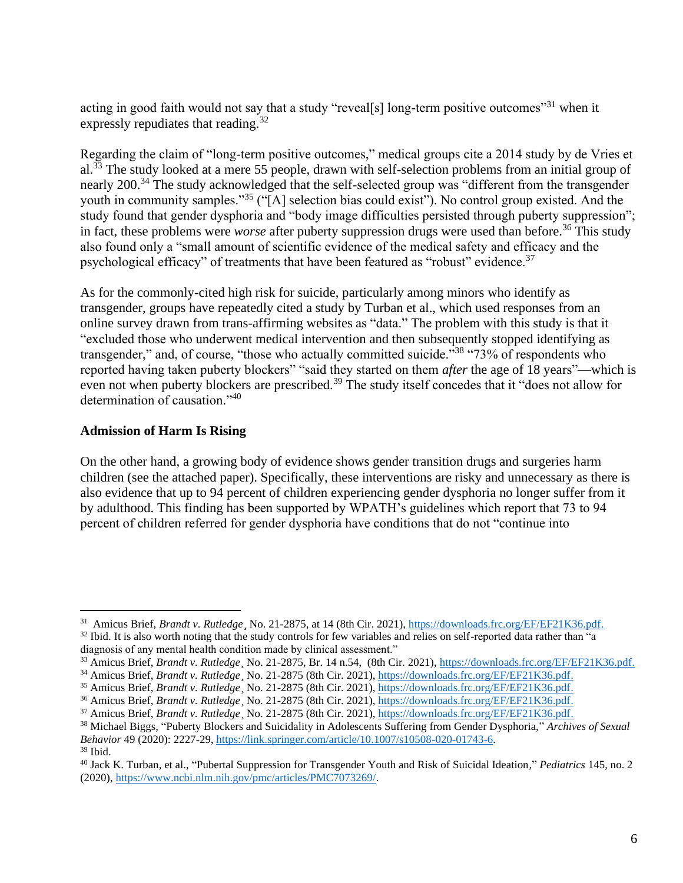acting in good faith would not say that a study "reveal[s] long-term positive outcomes"<sup>31</sup> when it expressly repudiates that reading.<sup>32</sup>

Regarding the claim of "long-term positive outcomes," medical groups cite a 2014 study by de Vries et al.<sup>33</sup> The study looked at a mere 55 people, drawn with self-selection problems from an initial group of nearly 200.<sup>34</sup> The study acknowledged that the self-selected group was "different from the transgender youth in community samples."<sup>35</sup> ("[A] selection bias could exist"). No control group existed. And the study found that gender dysphoria and "body image difficulties persisted through puberty suppression"; in fact, these problems were *worse* after puberty suppression drugs were used than before.<sup>36</sup> This study also found only a "small amount of scientific evidence of the medical safety and efficacy and the psychological efficacy" of treatments that have been featured as "robust" evidence.<sup>37</sup>

As for the commonly-cited high risk for suicide, particularly among minors who identify as transgender, groups have repeatedly cited a study by Turban et al., which used responses from an online survey drawn from trans-affirming websites as "data." The problem with this study is that it "excluded those who underwent medical intervention and then subsequently stopped identifying as transgender," and, of course, "those who actually committed suicide."<sup>38</sup> "73% of respondents who reported having taken puberty blockers" "said they started on them *after* the age of 18 years"—which is even not when puberty blockers are prescribed.<sup>39</sup> The study itself concedes that it "does not allow for determination of causation."<sup>40</sup>

### **Admission of Harm Is Rising**

On the other hand, a growing body of evidence shows gender transition drugs and surgeries harm children (see the attached paper). Specifically, these interventions are risky and unnecessary as there is also evidence that up to 94 percent of children experiencing gender dysphoria no longer suffer from it by adulthood. This finding has been supported by WPATH's guidelines which report that 73 to 94 percent of children referred for gender dysphoria have conditions that do not "continue into

<sup>&</sup>lt;sup>31</sup> Amicus Brief, *Brandt v. Rutledge* No. 21-2875, at 14 (8th Cir. 2021), [https://downloads.frc.org/EF/EF21K36.pdf.](https://downloads.frc.org/EF/EF21K36.pdf)  $32$  Ibid. It is also worth noting that the study controls for few variables and relies on self-reported data rather than "a diagnosis of any mental health condition made by clinical assessment."

<sup>&</sup>lt;sup>33</sup> Amicus Brief, *Brandt v. Rutledge*, No. 21-2875, Br. 14 n.54, (8th Cir. 2021), [https://downloads.frc.org/EF/EF21K36.pdf.](https://downloads.frc.org/EF/EF21K36.pdf)

<sup>&</sup>lt;sup>34</sup> Amicus Brief, *Brandt v. Rutledge*, No. 21-2875 (8th Cir. 2021), [https://downloads.frc.org/EF/EF21K36.pdf.](https://downloads.frc.org/EF/EF21K36.pdf)

<sup>35</sup> Amicus Brief, *Brandt v. Rutledge*¸ No. 21-2875 (8th Cir. 2021), [https://downloads.frc.org/EF/EF21K36.pdf.](https://downloads.frc.org/EF/EF21K36.pdf)

<sup>36</sup> Amicus Brief, *Brandt v. Rutledge*¸ No. 21-2875 (8th Cir. 2021), [https://downloads.frc.org/EF/EF21K36.pdf.](https://downloads.frc.org/EF/EF21K36.pdf)

<sup>&</sup>lt;sup>37</sup> Amicus Brief, *Brandt v. Rutledge*, No. 21-2875 (8th Cir. 2021), [https://downloads.frc.org/EF/EF21K36.pdf.](https://downloads.frc.org/EF/EF21K36.pdf)

<sup>38</sup> Michael Biggs, "Puberty Blockers and Suicidality in Adolescents Suffering from Gender Dysphoria," *Archives of Sexual Behavior* 49 (2020): 2227-29, [https://link.springer.com/article/10.1007/s10508-020-01743-6.](https://link.springer.com/article/10.1007/s10508-020-01743-6)

 $39$  Ibid.

<sup>40</sup> Jack K. Turban, et al., "Pubertal Suppression for Transgender Youth and Risk of Suicidal Ideation," *Pediatrics* 145, no. 2 (2020)[, https://www.ncbi.nlm.nih.gov/pmc/articles/PMC7073269/.](https://www.ncbi.nlm.nih.gov/pmc/articles/PMC7073269/)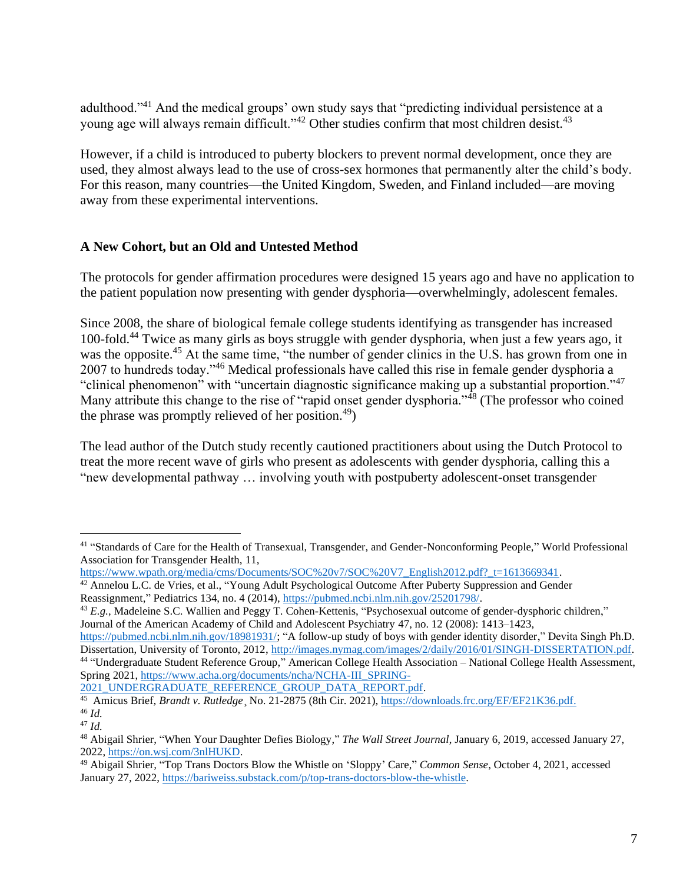adulthood."<sup>41</sup> And the medical groups' own study says that "predicting individual persistence at a young age will always remain difficult."<sup>42</sup> Other studies confirm that most children desist.<sup>43</sup>

However, if a child is introduced to puberty blockers to prevent normal development, once they are used, they almost always lead to the use of cross-sex hormones that permanently alter the child's body. For this reason, many countries—the United Kingdom, Sweden, and Finland included—are moving away from these experimental interventions.

## **A New Cohort, but an Old and Untested Method**

The protocols for gender affirmation procedures were designed 15 years ago and have no application to the patient population now presenting with gender dysphoria—overwhelmingly, adolescent females.

Since 2008, the share of biological female college students identifying as transgender has increased 100-fold.<sup>44</sup> Twice as many girls as boys struggle with gender dysphoria, when just a few years ago, it was the opposite.<sup>45</sup> At the same time, "the number of gender clinics in the U.S. has grown from one in 2007 to hundreds today."<sup>46</sup> Medical professionals have called this rise in female gender dysphoria a "clinical phenomenon" with "uncertain diagnostic significance making up a substantial proportion."<sup>47</sup> Many attribute this change to the rise of "rapid onset gender dysphoria."<sup>48</sup> (The professor who coined the phrase was promptly relieved of her position.<sup>49</sup>)

The lead author of the Dutch study recently cautioned practitioners about using the Dutch Protocol to treat the more recent wave of girls who present as adolescents with gender dysphoria, calling this a "new developmental pathway … involving youth with postpuberty adolescent-onset transgender

<sup>43</sup> *E.g.*, Madeleine S.C. Wallien and Peggy T. Cohen-Kettenis, "Psychosexual outcome of gender-dysphoric children," Journal of the American Academy of Child and Adolescent Psychiatry 47, no. 12 (2008): 1413–1423,

[https://pubmed.ncbi.nlm.nih.gov/18981931/;](https://pubmed.ncbi.nlm.nih.gov/18981931/) "A follow-up study of boys with gender identity disorder," Devita Singh Ph.D. Dissertation, University of Toronto, 2012, [http://images.nymag.com/images/2/daily/2016/01/SINGH-DISSERTATION.pdf.](http://images.nymag.com/images/2/daily/2016/01/SINGH-DISSERTATION.pdf) 44 "Undergraduate Student Reference Group," American College Health Association – National College Health Assessment, Spring 2021, [https://www.acha.org/documents/ncha/NCHA-III\\_SPRING-](https://www.acha.org/documents/ncha/NCHA-III_SPRING-2021_UNDERGRADUATE_REFERENCE_GROUP_DATA_REPORT.pdf)[2021\\_UNDERGRADUATE\\_REFERENCE\\_GROUP\\_DATA\\_REPORT.pdf.](https://www.acha.org/documents/ncha/NCHA-III_SPRING-2021_UNDERGRADUATE_REFERENCE_GROUP_DATA_REPORT.pdf)

<sup>45</sup> Amicus Brief, *Brandt v. Rutledge*¸ No. 21-2875 (8th Cir. 2021), [https://downloads.frc.org/EF/EF21K36.pdf.](https://downloads.frc.org/EF/EF21K36.pdf) <sup>46</sup> *Id.*

<sup>&</sup>lt;sup>41</sup> "Standards of Care for the Health of Transexual, Transgender, and Gender-Nonconforming People," World Professional Association for Transgender Health, 11,

[https://www.wpath.org/media/cms/Documents/SOC%20v7/SOC%20V7\\_English2012.pdf?\\_t=1613669341.](https://www.wpath.org/media/cms/Documents/SOC%20v7/SOC%20V7_English2012.pdf?_t=1613669341)

<sup>&</sup>lt;sup>42</sup> Annelou L.C. de Vries, et al., "Young Adult Psychological Outcome After Puberty Suppression and Gender Reassignment," Pediatrics 134, no. 4 (2014)[, https://pubmed.ncbi.nlm.nih.gov/25201798/.](https://pubmed.ncbi.nlm.nih.gov/25201798/)

<sup>47</sup> *Id.*

<sup>48</sup> Abigail Shrier, "When Your Daughter Defies Biology," *The Wall Street Journal*, January 6, 2019, accessed January 27, 2022, [https://on.wsj.com/3nlHUKD.](https://on.wsj.com/3nlHUKD)

<sup>49</sup> Abigail Shrier*,* "Top Trans Doctors Blow the Whistle on 'Sloppy' Care," *Common Sense*, October 4, 2021, accessed January 27, 2022[, https://bariweiss.substack.com/p/top-trans-doctors-blow-the-whistle.](https://bariweiss.substack.com/p/top-trans-doctors-blow-the-whistle)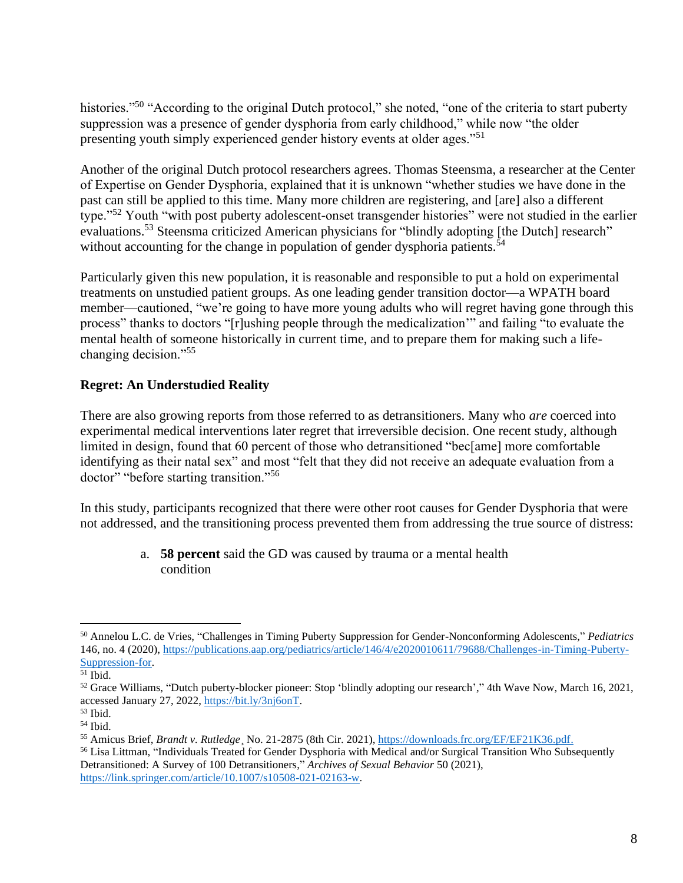histories."<sup>50</sup> "According to the original Dutch protocol," she noted, "one of the criteria to start puberty suppression was a presence of gender dysphoria from early childhood," while now "the older presenting youth simply experienced gender history events at older ages."<sup>51</sup>

Another of the original Dutch protocol researchers agrees. Thomas Steensma, a researcher at the Center of Expertise on Gender Dysphoria, explained that it is unknown "whether studies we have done in the past can still be applied to this time. Many more children are registering, and [are] also a different type."<sup>52</sup> Youth "with post puberty adolescent-onset transgender histories" were not studied in the earlier evaluations.<sup>53</sup> Steensma criticized American physicians for "blindly adopting [the Dutch] research" without accounting for the change in population of gender dysphoria patients. $54$ 

Particularly given this new population, it is reasonable and responsible to put a hold on experimental treatments on unstudied patient groups. As one leading gender transition doctor—a WPATH board member—cautioned, "we're going to have more young adults who will regret having gone through this process" thanks to doctors "[r]ushing people through the medicalization'" and failing "to evaluate the mental health of someone historically in current time, and to prepare them for making such a lifechanging decision."<sup>55</sup>

## **Regret: An Understudied Reality**

There are also growing reports from those referred to as detransitioners. Many who *are* coerced into experimental medical interventions later regret that irreversible decision. One recent study, although limited in design, found that 60 percent of those who detransitioned "bec[ame] more comfortable identifying as their natal sex" and most "felt that they did not receive an adequate evaluation from a doctor" "before starting transition."<sup>56</sup>

In this study, participants recognized that there were other root causes for Gender Dysphoria that were not addressed, and the transitioning process prevented them from addressing the true source of distress:

> a. **58 percent** said the GD was caused by trauma or a mental health condition

<sup>56</sup> Lisa Littman, "Individuals Treated for Gender Dysphoria with Medical and/or Surgical Transition Who Subsequently Detransitioned: A Survey of 100 Detransitioners," *Archives of Sexual Behavior* 50 (2021), [https://link.springer.com/article/10.1007/s10508-021-02163-w.](https://link.springer.com/article/10.1007/s10508-021-02163-w)

<sup>50</sup> Annelou L.C. de Vries, "Challenges in Timing Puberty Suppression for Gender-Nonconforming Adolescents," *Pediatrics* 146, no. 4 (2020), [https://publications.aap.org/pediatrics/article/146/4/e2020010611/79688/Challenges-in-Timing-Puberty-](https://publications.aap.org/pediatrics/article/146/4/e2020010611/79688/Challenges-in-Timing-Puberty-Suppression-for)[Suppression-for.](https://publications.aap.org/pediatrics/article/146/4/e2020010611/79688/Challenges-in-Timing-Puberty-Suppression-for)

 $\overline{51}$  Ibid.

 $52$  Grace Williams, "Dutch puberty-blocker pioneer: Stop 'blindly adopting our research'," 4th Wave Now, March 16, 2021, accessed January 27, 2022, [https://bit.ly/3nj6onT.](https://bit.ly/3nj6onT)

<sup>53</sup> Ibid.

 $54$  Ibid.

<sup>55</sup> Amicus Brief, *Brandt v. Rutledge*¸ No. 21-2875 (8th Cir. 2021), [https://downloads.frc.org/EF/EF21K36.pdf.](https://downloads.frc.org/EF/EF21K36.pdf)